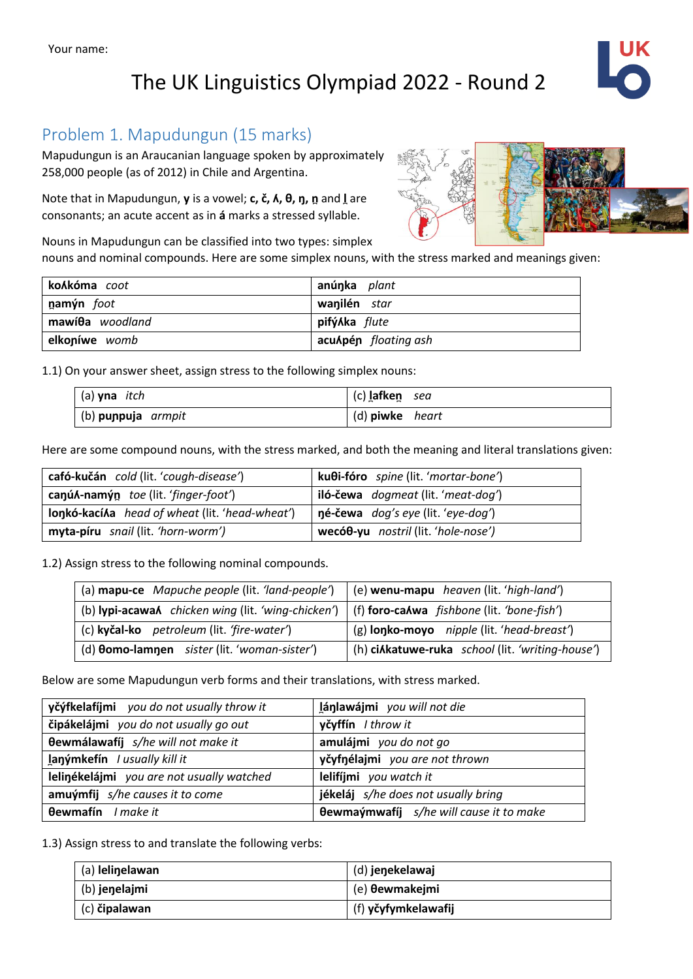## The UK Linguistics Olympiad 2022 - Round 2



#### Problem 1. Mapudungun (15 marks)

Mapudungun is an Araucanian language spoken by approximately 258,000 people (as of 2012) in Chile and Argentina.

Note that in Mapudungun, **y** is a vowel; **c, č, ʎ, θ, ŋ, n̪**and **l̪**are consonants; an acute accent as in **á** marks a stressed syllable.

Nouns in Mapudungun can be classified into two types: simplex

nouns and nominal compounds. Here are some simplex nouns, with the stress marked and meanings given:

| ko⁄kóma <i>coot</i>      | anúnka <i>plant</i>  |
|--------------------------|----------------------|
| namýn foot               | wanilén star         |
| mawí $\theta$ a woodland | pifý⁄ka <i>flute</i> |
| elkoníwe womb            | acuApén floating ash |

1.1) On your answer sheet, assign stress to the following simplex nouns:

| $(a)$ yna <i>itch</i> | (c) lafken sea  |
|-----------------------|-----------------|
| (b) punpuja armpit    | (d) piwke heart |

Here are some compound nouns, with the stress marked, and both the meaning and literal translations given:

| cafó-kučán cold (lit. 'cough-disease')          | kuθi-fóro spine (lit. 'mortar-bone') |
|-------------------------------------------------|--------------------------------------|
| canúA-namýn toe (lit. 'finger-foot')            | iló-čewa dogmeat (lit. 'meat-dog')   |
| lonkó-kací Aa head of wheat (lit. 'head-wheat') | né-čewa dog's eye (lit. 'eye-dog')   |
| myta-píru snail (lit. 'horn-worm')              | wecóθ-yu nostril (lit. 'hole-nose')  |

1.2) Assign stress to the following nominal compounds.

| (a) mapu-ce Mapuche people (lit. 'land-people')                                                         | (e) wenu-mapu heaven (lit. 'high-land')                  |  |  |
|---------------------------------------------------------------------------------------------------------|----------------------------------------------------------|--|--|
| (b) lypi-acawa <i>l</i> chicken wing (lit. 'wing-chicken')   (f) foro-calwa fishbone (lit. 'bone-fish') |                                                          |  |  |
| (c) kyčal-ko petroleum (lit. 'fire-water')                                                              | (g) <b>lonko-moyo</b> <i>nipple</i> (lit. 'head-breast') |  |  |
| (d) <b>Oomo-lamnen</b> sister (lit. 'woman-sister')                                                     | (h) ciAkatuwe-ruka school (lit. 'writing-house')         |  |  |

Below are some Mapudungun verb forms and their translations, with stress marked.

| yčýfkelafíjmi you do not usually throw it | lánlawájmi you will not die                    |  |  |
|-------------------------------------------|------------------------------------------------|--|--|
| čipákelájmi you do not usually go out     | yčyffín I throw it                             |  |  |
| <b>Oewmálawafíj</b> s/he will not make it | amulájmi you do not go                         |  |  |
| lanýmkefín / usually kill it              | yčyfnélajmi you are not thrown                 |  |  |
| lelinékelájmi you are not usually watched | lelifíjmi you watch it                         |  |  |
| amuýmfij s/he causes it to come           | jékeláj s/he does not usually bring            |  |  |
| <b>Oewmafín</b> I make it                 | <b>Oewmaýmwafíj</b> s/he will cause it to make |  |  |

1.3) Assign stress to and translate the following verbs:

| (a) lelinelawan | (d) jenekelawaj       |
|-----------------|-----------------------|
| (b) jenelajmi   | (e) <b>θewmakejmi</b> |
| (c) čipalawan   | (f) yčyfymkelawafij   |

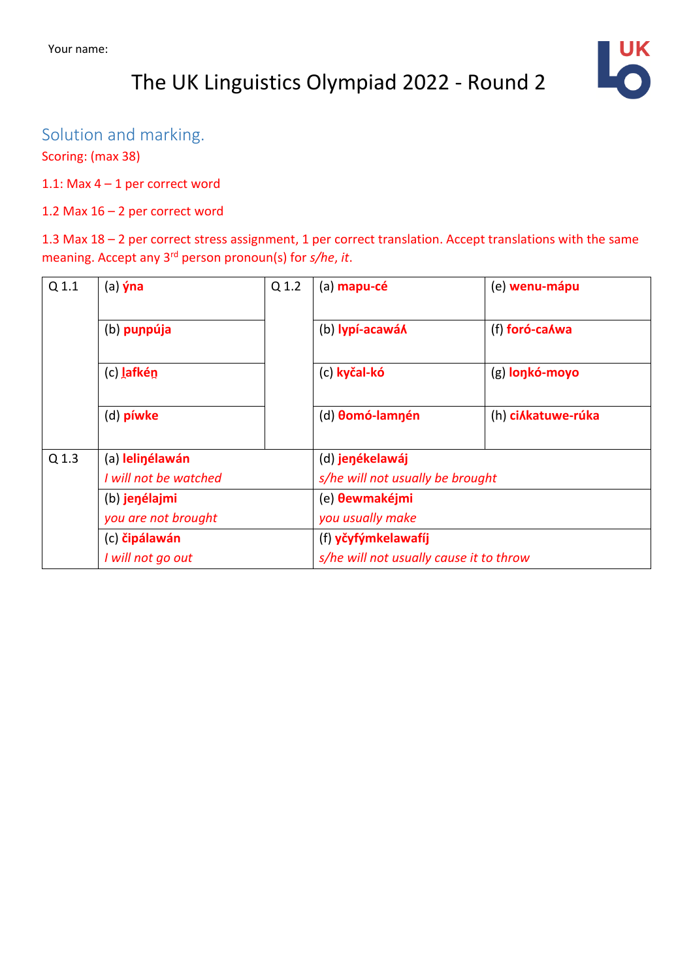# The UK Linguistics Olympiad 2022 - Round 2



#### Solution and marking.

Scoring: (max 38)

1.1: Max 4 – 1 per correct word

#### 1.2 Max 16 – 2 per correct word

1.3 Max 18 – 2 per correct stress assignment, 1 per correct translation. Accept translations with the same meaning. Accept any 3rd person pronoun(s) for *s/he*, *it*.

| Q <sub>1.1</sub> | $(a)$ yna                                                 | Q 1.2                  | (a) mapu-cé                             | (e) wenu-mápu   |  |
|------------------|-----------------------------------------------------------|------------------------|-----------------------------------------|-----------------|--|
|                  | (b) punpúja                                               |                        | (b) lypí-acawá <b>/</b>                 | (f) foró-ca Awa |  |
|                  | (c) lafkén                                                |                        | (c) kyčal-kó                            | (g) lonkó-moyo  |  |
|                  | (d) píwke                                                 | (d) <b>Oomó-lamnén</b> | (h) ciAkatuwe-rúka                      |                 |  |
| Q 1.3            | (a) lelinélawán<br>I will not be watched<br>(b) jenélajmi |                        | (d) jenékelawáj                         |                 |  |
|                  |                                                           |                        | s/he will not usually be brought        |                 |  |
|                  |                                                           |                        | (e) <b>θewmakéjmi</b>                   |                 |  |
|                  | you are not brought                                       |                        | you usually make                        |                 |  |
|                  | (c) čipálawán                                             |                        | (f) yčyfýmkelawafíj                     |                 |  |
|                  | I will not go out                                         |                        | s/he will not usually cause it to throw |                 |  |